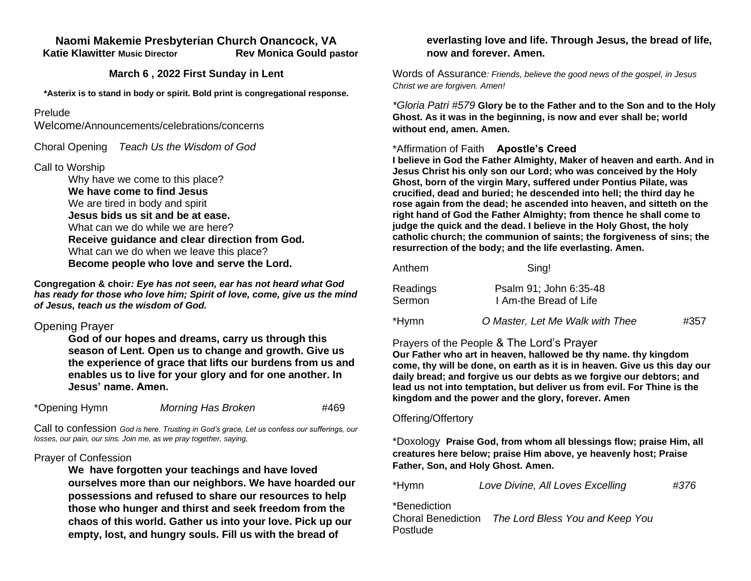#### **Naomi Makemie Presbyterian Church Onancock, VA Katie Klawitter Music Director Rev Monica Gould pastor**

#### **March 6 , 2022 First Sunday in Lent**

**\*Asterix is to stand in body or spirit. Bold print is congregational response.**

#### Prelude

Welcome/Announcements/celebrations/concerns

Choral Opening *Teach Us the Wisdom of God*

#### Call to Worship

Why have we come to this place? **We have come to find Jesus** We are tired in body and spirit **Jesus bids us sit and be at ease.** What can we do while we are here? **Receive guidance and clear direction from God.** What can we do when we leave this place? **Become people who love and serve the Lord.** 

**Congregation & choir***: Eye has not seen, ear has not heard what God has ready for those who love him; Spirit of love, come, give us the mind of Jesus, teach us the wisdom of God.* 

## Opening Prayer

**God of our hopes and dreams, carry us through this season of Lent. Open us to change and growth. Give us the experience of grace that lifts our burdens from us and enables us to live for your glory and for one another. In Jesus' name. Amen.**

| *Opening Hymn | <b>Morning Has Broken</b> | #469 |
|---------------|---------------------------|------|
|---------------|---------------------------|------|

Call to confession *God is here. Trusting in God's grace, Let us confess our sufferings, our losses, our pain, our sins. Join me, as we pray together, saying,*

#### Prayer of Confession

**We have forgotten your teachings and have loved ourselves more than our neighbors. We have hoarded our possessions and refused to share our resources to help those who hunger and thirst and seek freedom from the chaos of this world. Gather us into your love. Pick up our empty, lost, and hungry souls. Fill us with the bread of** 

## **everlasting love and life. Through Jesus, the bread of life, now and forever. Amen.**

Words of Assurance*: Friends, believe the good news of the gospel, in Jesus Christ we are forgiven. Amen!*

*\*Gloria Patri #579* **Glory be to the Father and to the Son and to the Holy Ghost. As it was in the beginning, is now and ever shall be; world without end, amen. Amen.** 

## \*Affirmation of Faith **Apostle's Creed**

**I believe in God the Father Almighty, Maker of heaven and earth. And in Jesus Christ his only son our Lord; who was conceived by the Holy Ghost, born of the virgin Mary, suffered under Pontius Pilate, was crucified, dead and buried; he descended into hell; the third day he rose again from the dead; he ascended into heaven, and sitteth on the right hand of God the Father Almighty; from thence he shall come to judge the quick and the dead. I believe in the Holy Ghost, the holy catholic church; the communion of saints; the forgiveness of sins; the resurrection of the body; and the life everlasting. Amen.**

| Anthem             | Sing!                                            |      |
|--------------------|--------------------------------------------------|------|
| Readings<br>Sermon | Psalm 91; John 6:35-48<br>I Am-the Bread of Life |      |
| *Hymn              | O Master, Let Me Walk with Thee                  | #357 |

# Prayers of the People & The Lord's Prayer

**Our Father who art in heaven, hallowed be thy name. thy kingdom come, thy will be done, on earth as it is in heaven. Give us this day our daily bread; and forgive us our debts as we forgive our debtors; and lead us not into temptation, but deliver us from evil. For Thine is the kingdom and the power and the glory, forever. Amen**

## Offering/Offertory

\*Doxology **Praise God, from whom all blessings flow; praise Him, all creatures here below; praise Him above, ye heavenly host; Praise Father, Son, and Holy Ghost. Amen.** 

| #376 |
|------|
|      |

\*Benediction

Choral Benediction *The Lord Bless You and Keep You* Postlude